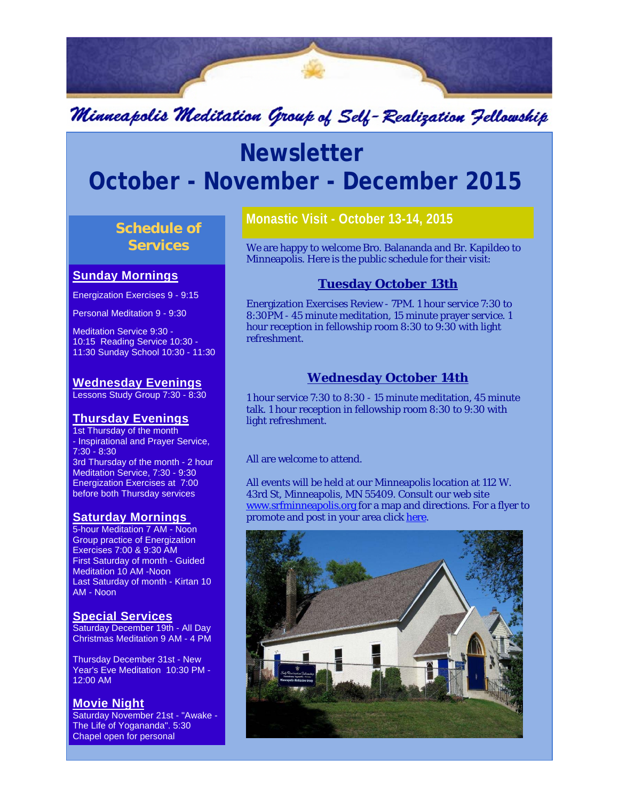

# Minneapolis Meditation Group of Self-Realization Fellowship

# **Newsletter October - November - December 2015**

# **Schedule of Services**

#### **Sunday Mornings**

Energization Exercises 9 - 9:15

Personal Meditation 9 - 9:30

Meditation Service 9:30 - 10:15 Reading Service 10:30 - 11:30 Sunday School 10:30 - 11:30

# **Wednesday Evenings**

Lessons Study Group 7:30 - 8:30

# **Thursday Evenings**

1st Thursday of the month - Inspirational and Prayer Service, 7:30 - 8:30 3rd Thursday of the month - 2 hour Meditation Service, 7:30 - 9:30 Energization Exercises at 7:00 before both Thursday services

## **Saturday Mornings**

5-hour Meditation 7 AM - Noon Group practice of Energization Exercises 7:00 & 9:30 AM First Saturday of month - Guided Meditation 10 AM -Noon Last Saturday of month - Kirtan 10 AM - Noon

#### **Special Services**

Saturday December 19th - All Day Christmas Meditation 9 AM - 4 PM

Thursday December 31st - New Year's Eve Meditation 10:30 PM - 12:00 AM

## **Movie Night**

Saturday November 21st - "Awake - The Life of Yogananda". 5:30 Chapel open for personal

# **Monastic Visit - October 13-14, 2015**

We are happy to welcome Bro. Balananda and Br. Kapildeo to Minneapolis. Here is the public schedule for their visit:

# **Tuesday October 13th**

Energization Exercises Review - 7PM. 1 hour service 7:30 to 8:30PM - 45 minute meditation, 15 minute prayer service. 1 hour reception in fellowship room 8:30 to 9:30 with light refreshment.

# **Wednesday October 14th**

1 hour service 7:30 to 8:30 - 15 minute meditation, 45 minute talk. 1 hour reception in fellowship room 8:30 to 9:30 with light refreshment.

All are welcome to attend.

All events will be held at our Minneapolis location at 112 W. 43rd St, Minneapolis, MN 55409. Consult our web site www.srfminneapolis.org for a map and directions. For a flyer to promote and post in your area click here.

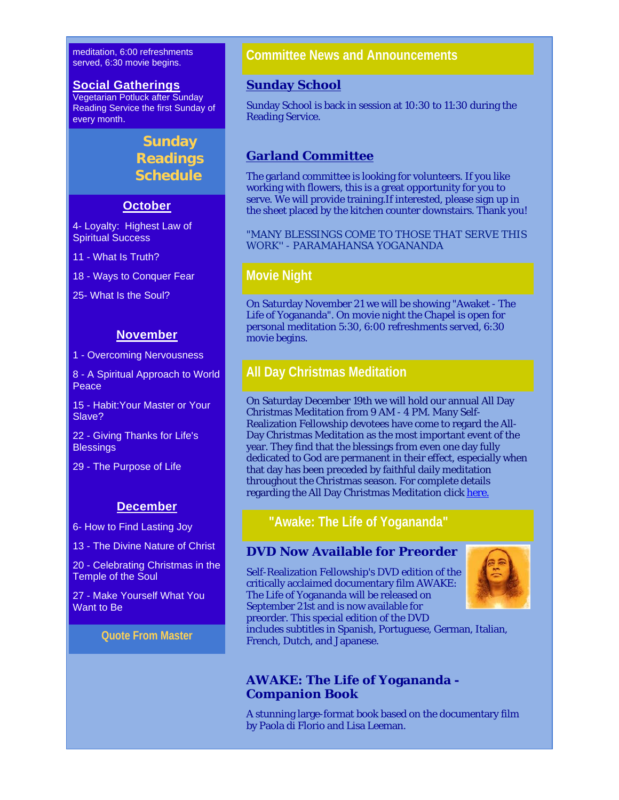meditation, 6:00 refreshments served, 6:30 movie begins.

#### **Social Gatherings**

Vegetarian Potluck after Sunday Reading Service the first Sunday of every month.

# **Sunday Readings Schedule**

## **October**

4- Loyalty: Highest Law of Spiritual Success

11 - What Is Truth?

18 - Ways to Conquer Fear

25- What Is the Soul?

#### **November**

1 - Overcoming Nervousness

8 - A Spiritual Approach to World Peace

15 - Habit:Your Master or Your Slave?

22 - Giving Thanks for Life's **Blessings** 

29 - The Purpose of Life

#### **December**

6- How to Find Lasting Joy

13 - The Divine Nature of Christ

20 - Celebrating Christmas in the Temple of the Soul

27 - Make Yourself What You Want to Be

#### **Quote From Master**

# **Committee News and Announcements**

#### **Sunday School**

Sunday School is back in session at 10:30 to 11:30 during the Reading Service.

## **Garland Committee**

The garland committee is looking for volunteers. If you like working with flowers, this is a great opportunity for you to serve. We will provide training.If interested, please sign up in the sheet placed by the kitchen counter downstairs. Thank you!

"MANY BLESSINGS COME TO THOSE THAT SERVE THIS WORK'' - PARAMAHANSA YOGANANDA

## **Movie Night**

On Saturday November 21 we will be showing "Awaket - The Life of Yogananda". On movie night the Chapel is open for personal meditation 5:30, 6:00 refreshments served, 6:30 movie begins.

# **All Day Christmas Meditation**

On Saturday December 19th we will hold our annual All Day Christmas Meditation from 9 AM - 4 PM. Many Self-Realization Fellowship devotees have come to regard the All-Day Christmas Meditation as the most important event of the year. They find that the blessings from even one day fully dedicated to God are permanent in their effect, especially when that day has been preceded by faithful daily meditation throughout the Christmas season. For complete details regarding the All Day Christmas Meditation click here.

# **"Awake: The Life of Yogananda"**

## **DVD Now Available for Preorder**

Self-Realization Fellowship's DVD edition of the critically acclaimed documentary film AWAKE: The Life of Yogananda will be released on September 21st and is now available for preorder. This special edition of the DVD



includes subtitles in Spanish, Portuguese, German, Italian, French, Dutch, and Japanese.

## **AWAKE: The Life of Yogananda - Companion Book**

A stunning large-format book based on the documentary film by Paola di Florio and Lisa Leeman.